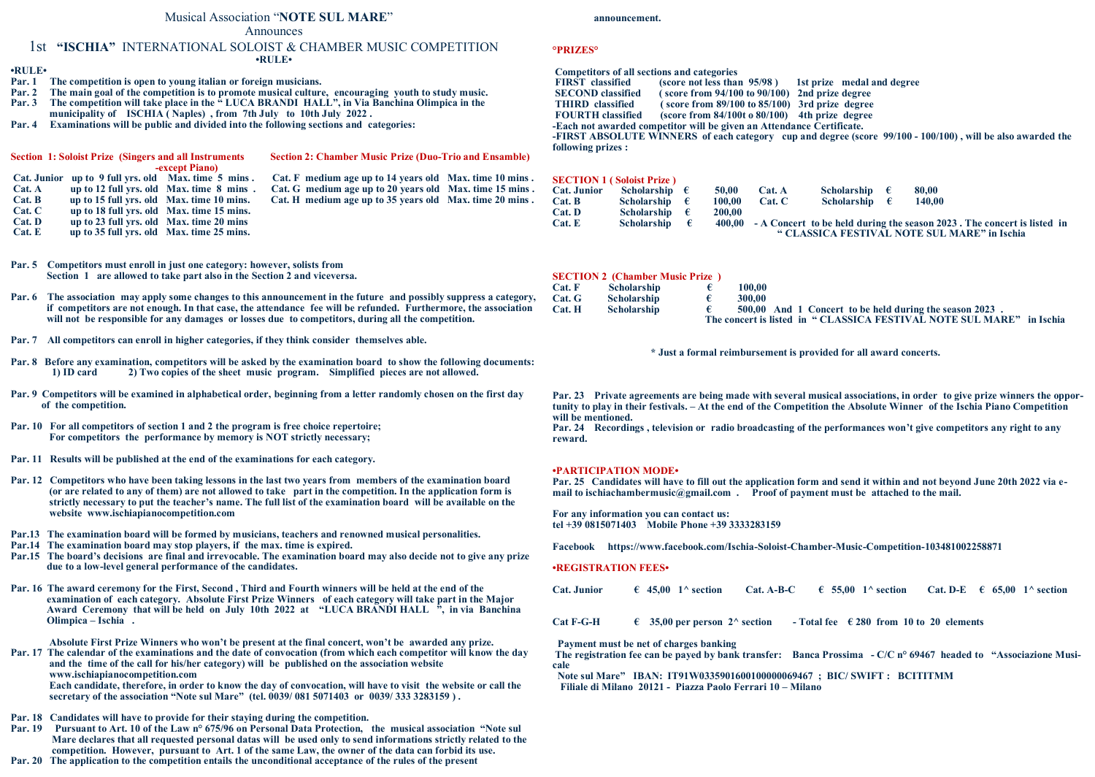#### Musical Association "**NOTE SUL MARE**"

Announces

#### 1st **"ISCHIA"** INTERNATIONAL SOLOIST & CHAMBER MUSIC COMPETITION **•RULE•**

#### **•RULE•**

- **Par. 1 The competition is open to young italian or foreign musicians.**
- **Par. 2 The main goal of the competition is to promote musical culture, encouraging youth to study music.**
- **Par. 3 The competition will take place in the " LUCA BRANDI HALL", in Via Banchina Olimpica in the**
- **municipality of ISCHIA ( Naples) , from 7th July to 10th July 2022 .**
- **Par. 4 Examinations will be public and divided into the following sections and categories:**

|        | <b>Section 1: Soloist Prize (Singers and all Instruments)</b> |                                          | <b>Section 2: Chamber Music Prize (Duo-Trio and Ensamble)</b> |  |
|--------|---------------------------------------------------------------|------------------------------------------|---------------------------------------------------------------|--|
|        |                                                               | <b>-except Piano</b> )                   |                                                               |  |
|        | Cat. Junior up to 9 full yrs. old Max. time 5 mins.           |                                          | Cat. F medium age up to 14 years old Max. time 10 mins.       |  |
| Cat. A |                                                               | up to 12 full yrs. old Max. time 8 mins. | Cat. G medium age up to 20 years old Max. time 15 mins.       |  |
| Cat. B | up to 15 full yrs. old Max. time 10 mins.                     |                                          | Cat. H medium age up to 35 years old Max. time 20 mins.       |  |
| Cat. C | up to 18 full vrs. old Max. time 15 mins.                     |                                          |                                                               |  |
| Cat. D | up to 23 full yrs. old Max. time 20 mins                      |                                          |                                                               |  |
| Cat. E | up to 35 full yrs. old Max. time 25 mins.                     |                                          |                                                               |  |

- **Par. 5 Competitors must enroll in just one category: however, solists from Section 1 are allowed to take part also in the Section 2 and viceversa.**
- **Par. 6 The association may apply some changes to this announcement in the future and possibly suppress a category, if competitors are not enough. In that case, the attendance fee will be refunded. Furthermore, the association will not be responsible for any damages or losses due to competitors, during all the competition.**
- **Par. 7 All competitors can enroll in higher categories, if they think consider themselves able.**
- **Par. 8 Before any examination, competitors will be asked by the examination board to show the following documents:**<br>1) ID card 2) Two conjes of the sheet music program. Simplified pieces are not allowed. **1) ID card 2) Two copies of the sheet music program. Simplified pieces are not allowed.**
- **Par. 9 Competitors will be examined in alphabetical order, beginning from a letter randomly chosen on the first day of the competition.**
- **Par. 10 For all competitors of section 1 and 2 the program is free choice repertoire; For competitors the performance by memory is NOT strictly necessary;**
- **Par. 11 Results will be published at the end of the examinations for each category.**
- **Par. 12 Competitors who have been taking lessons in the last two years from members of the examination board (or are related to any of them) are not allowed to take part in the competition. In the application form is strictly necessary to put the teacher's name. The full list of the examination board will be available on the website www.ischiapianocompetition.com**
- **Par.13 The examination board will be formed by musicians, teachers and renowned musical personalities.**
- **Par.14 The examination board may stop players, if the max. time is expired.**
- **Par.15 The board's decisions are final and irrevocable. The examination board may also decide not to give any prize due to a low-level general performance of the candidates.**
- **Par. 16 The award ceremony for the First, Second , Third and Fourth winners will be held at the end of the examination of each category. Absolute First Prize Winners of each category will take part in the Major Award Ceremony that will be held on July 10th 2022 at "LUCA BRANDI HALL ", in via Banchina Olimpica – Ischia .**

 **Absolute First Prize Winners who won't be present at the final concert, won't be awarded any prize.**

**Par. 17 The calendar of the examinations and the date of convocation (from which each competitor will know the day and the time of the call for his/her category) will be published on the association website www.ischiapianocompetition.com Each candidate, therefore, in order to know the day of convocation, will have to visit the website or call the secretary of the association "Note sul Mare" (tel. 0039/ 081 5071403 or 0039/ 333 3283159 ) .**

- **Par. 18 Candidates will have to provide for their staying during the competition.**
- **Par. 19 Pursuant to Art. 10 of the Law n° 675/96 on Personal Data Protection, the musical association "Note sul Mare declares that all requested personal datas will be used only to send informations strictly related to the competition. However, pursuant to Art. 1 of the same Law, the owner of the data can forbid its use.**
- **Par. 20 The application to the competition entails the unconditional acceptance of the rules of the present**

 **announcement.**

#### **°PRIZES°**

## **Competitors of all sections and categories**

**FIRST c** (score not less than  $95/98$  ) 1st prize medal and degree **SECOND classified ( score from 94/100 to 90/100) 2nd prize degree**  $\hat{\textbf{r}}$  **score from 89/100 to 85/100)** 3rd prize degree **FOURTH classified (score from 84/100t o 80/100) 4th prize degree -Each not awarded competitor will be given an Attendance Certificate. -FIRST ABSOLUTE WINNERS of each category cup and degree (score 99/100 - 100/100) , will be also awarded the following prizes :**

|                    | <b>SECTION 1 (Soloist Prize)</b> |        |        |                                                                         |        |                                                                                |  |
|--------------------|----------------------------------|--------|--------|-------------------------------------------------------------------------|--------|--------------------------------------------------------------------------------|--|
| <b>Cat. Junior</b> | Scholarship $\epsilon$           | 50.00  | Cat. A | Scholarship $\epsilon$                                                  | 80.00  |                                                                                |  |
| $Cat$ . B          | Scholarship $\epsilon$           | 100.00 | Cat. C | Scholarship $\epsilon$                                                  | 140.00 |                                                                                |  |
| Cat. D             | Scholarship $\epsilon$           | 200,00 |        |                                                                         |        |                                                                                |  |
| Cat. E             | Scholarship $\epsilon$           |        |        |                                                                         |        | 400,00 - A Concert to be held during the season 2023. The concert is listed in |  |
|                    |                                  |        |        | $\alpha$ of Looper introducers $\mathbf{r}$ atomic order by Looper III. |        |                                                                                |  |

 **" CLASSICA FESTIVAL NOTE SUL MARE" in Ischia**

#### **SECTION 2 (Chamber Music Prize )**

| Cat. F | <b>Scholarship</b> | 100.00 |                                                                      |  |
|--------|--------------------|--------|----------------------------------------------------------------------|--|
| Cat. G | <b>Scholarship</b> | 300.00 |                                                                      |  |
| Cat. H | <b>Scholarship</b> |        | 500,00 And 1 Concert to be held during the season 2023.              |  |
|        |                    |        | The concert is listed in "CLASSICA FESTIVAL NOTE SUL MARE" in Ischia |  |

**\* Just a formal reimbursement is provided for all award concerts.**

**Par. 23 Private agreements are being made with several musical associations, in order to give prize winners the opportunity to play in their festivals. – At the end of the Competition the Absolute Winner of the Ischia Piano Competition will be mentioned.**

**Par. 24 Recordings , television or radio broadcasting of the performances won't give competitors any right to any reward.**

#### **•PARTICIPATION MODE•**

**Par. 25 Candidates will have to fill out the application form and send it within and not beyond June 20th 2022 via email to ischiachambermusic@gmail.com . Proof of payment must be attached to the mail.**

**For any information you can contact us: tel +39 0815071403 Mobile Phone +39 3333283159**

**Facebook https://www.facebook.com/Ischia-Soloist-Chamber-Music-Competition-103481002258871**

#### **•REGISTRATION FEES•**

**Cat. Junior**  $\epsilon$  **45.00 1^ section Cat. A-B-C**  $\epsilon$  55.00 1^ section **Cat. D-E**  $\epsilon$  65.00 1^ section

**Cat F-G-H c 6 35,00** per person  $2^{\wedge}$  section **a - Total fee**  $\in$  **280** from 10 to 20 elements

#### **Payment must be net of charges banking**

**The registration fee can be payed by bank transfer: Banca Prossima - C/C n° 69467 headed to "Associazione Musicale** 

**Note sul Mare" IBAN: IT91W0335901600100000069467 ; BIC/ SWIFT : BCITITMM Filiale di Milano 20121 - Piazza Paolo Ferrari 10 – Milano**